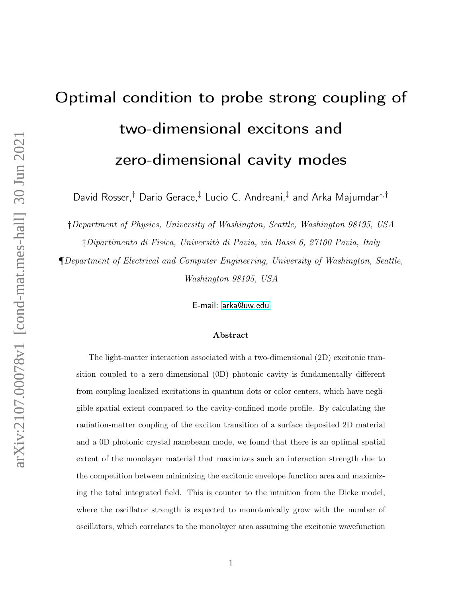# Optimal condition to probe strong coupling of two-dimensional excitons and zero-dimensional cavity modes

David Rosser,<sup>†</sup> Dario Gerace,<sup>‡</sup> Lucio C. Andreani,<sup>‡</sup> and Arka Majumdar\*<sup>,†</sup>

†Department of Physics, University of Washington, Seattle, Washington 98195, USA

‡Dipartimento di Fisica, Università di Pavia, via Bassi 6, 27100 Pavia, Italy

¶Department of Electrical and Computer Engineering, University of Washington, Seattle, Washington 98195, USA

E-mail:<arka@uw.edu>

#### Abstract

The light-matter interaction associated with a two-dimensional (2D) excitonic transition coupled to a zero-dimensional (0D) photonic cavity is fundamentally different from coupling localized excitations in quantum dots or color centers, which have negligible spatial extent compared to the cavity-confined mode profile. By calculating the radiation-matter coupling of the exciton transition of a surface deposited 2D material and a 0D photonic crystal nanobeam mode, we found that there is an optimal spatial extent of the monolayer material that maximizes such an interaction strength due to the competition between minimizing the excitonic envelope function area and maximizing the total integrated field. This is counter to the intuition from the Dicke model, where the oscillator strength is expected to monotonically grow with the number of oscillators, which correlates to the monolayer area assuming the excitonic wavefunction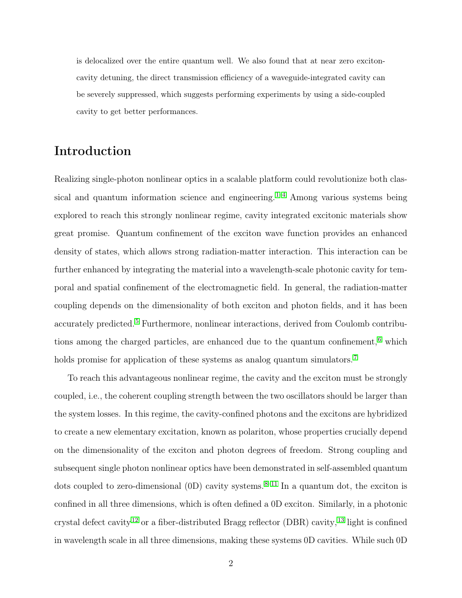is delocalized over the entire quantum well. We also found that at near zero excitoncavity detuning, the direct transmission efficiency of a waveguide-integrated cavity can be severely suppressed, which suggests performing experiments by using a side-coupled cavity to get better performances.

# Introduction

Realizing single-photon nonlinear optics in a scalable platform could revolutionize both classical and quantum information science and engineering.  $1-4$  $1-4$  Among various systems being explored to reach this strongly nonlinear regime, cavity integrated excitonic materials show great promise. Quantum confinement of the exciton wave function provides an enhanced density of states, which allows strong radiation-matter interaction. This interaction can be further enhanced by integrating the material into a wavelength-scale photonic cavity for temporal and spatial confinement of the electromagnetic field. In general, the radiation-matter coupling depends on the dimensionality of both exciton and photon fields, and it has been accurately predicted. [5](#page-15-2) Furthermore, nonlinear interactions, derived from Coulomb contributions among the charged particles, are enhanced due to the quantum confinement, [6](#page-15-3) which holds promise for application of these systems as analog quantum simulators.<sup>[7](#page-16-0)</sup>

To reach this advantageous nonlinear regime, the cavity and the exciton must be strongly coupled, i.e., the coherent coupling strength between the two oscillators should be larger than the system losses. In this regime, the cavity-confined photons and the excitons are hybridized to create a new elementary excitation, known as polariton, whose properties crucially depend on the dimensionality of the exciton and photon degrees of freedom. Strong coupling and subsequent single photon nonlinear optics have been demonstrated in self-assembled quantum dots coupled to zero-dimensional  $(0D)$  cavity systems. <sup>[8](#page-16-1)[–11](#page-16-2)</sup> In a quantum dot, the exciton is confined in all three dimensions, which is often defined a 0D exciton. Similarly, in a photonic crystal defect cavity  $^{12}$  $^{12}$  $^{12}$  or a fiber-distributed Bragg reflector (DBR) cavity,  $^{13}$  $^{13}$  $^{13}$  light is confined in wavelength scale in all three dimensions, making these systems 0D cavities. While such 0D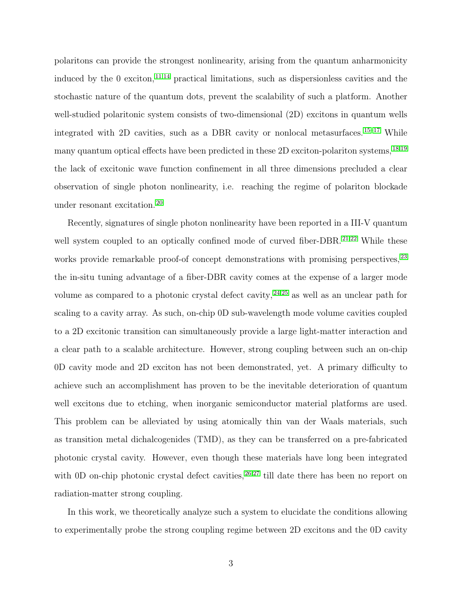polaritons can provide the strongest nonlinearity, arising from the quantum anharmonicity induced by the 0 exciton,  $11,14$  $11,14$  practical limitations, such as dispersionless cavities and the stochastic nature of the quantum dots, prevent the scalability of such a platform. Another well-studied polaritonic system consists of two-dimensional (2D) excitons in quantum wells integrated with 2D cavities, such as a DBR cavity or nonlocal metasurfaces. [15](#page-16-6)[–17](#page-17-0) While many quantum optical effects have been predicted in these 2D exciton-polariton systems, <sup>[18,](#page-17-1)[19](#page-17-2)</sup> the lack of excitonic wave function confinement in all three dimensions precluded a clear observation of single photon nonlinearity, i.e. reaching the regime of polariton blockade under resonant excitation. [20](#page-17-3)

Recently, signatures of single photon nonlinearity have been reported in a III-V quantum well system coupled to an optically confined mode of curved fiber-DBR. [21,](#page-17-4)[22](#page-17-5) While these works provide remarkable proof-of concept demonstrations with promising perspectives,  $^{23}$  $^{23}$  $^{23}$ the in-situ tuning advantage of a fiber-DBR cavity comes at the expense of a larger mode volume as compared to a photonic crystal defect cavity,  $24,25$  $24,25$  as well as an unclear path for scaling to a cavity array. As such, on-chip 0D sub-wavelength mode volume cavities coupled to a 2D excitonic transition can simultaneously provide a large light-matter interaction and a clear path to a scalable architecture. However, strong coupling between such an on-chip 0D cavity mode and 2D exciton has not been demonstrated, yet. A primary difficulty to achieve such an accomplishment has proven to be the inevitable deterioration of quantum well excitons due to etching, when inorganic semiconductor material platforms are used. This problem can be alleviated by using atomically thin van der Waals materials, such as transition metal dichalcogenides (TMD), as they can be transferred on a pre-fabricated photonic crystal cavity. However, even though these materials have long been integrated with 0D on-chip photonic crystal defect cavities, <sup>[26,](#page-17-9)[27](#page-18-0)</sup> till date there has been no report on radiation-matter strong coupling.

In this work, we theoretically analyze such a system to elucidate the conditions allowing to experimentally probe the strong coupling regime between 2D excitons and the 0D cavity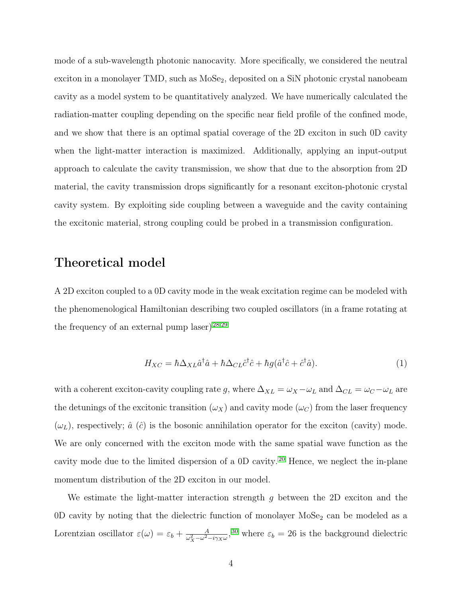mode of a sub-wavelength photonic nanocavity. More specifically, we considered the neutral exciton in a monolayer TMD, such as MoSe<sub>2</sub>, deposited on a SiN photonic crystal nanobeam cavity as a model system to be quantitatively analyzed. We have numerically calculated the radiation-matter coupling depending on the specific near field profile of the confined mode, and we show that there is an optimal spatial coverage of the 2D exciton in such 0D cavity when the light-matter interaction is maximized. Additionally, applying an input-output approach to calculate the cavity transmission, we show that due to the absorption from 2D material, the cavity transmission drops significantly for a resonant exciton-photonic crystal cavity system. By exploiting side coupling between a waveguide and the cavity containing the excitonic material, strong coupling could be probed in a transmission configuration.

# Theoretical model

A 2D exciton coupled to a 0D cavity mode in the weak excitation regime can be modeled with the phenomenological Hamiltonian describing two coupled oscillators (in a frame rotating at the frequency of an external pump laser)  $28,29$  $28,29$ 

<span id="page-3-0"></span>
$$
H_{XC} = \hbar \Delta_{XL} \hat{a}^\dagger \hat{a} + \hbar \Delta_{CL} \hat{c}^\dagger \hat{c} + \hbar g (\hat{a}^\dagger \hat{c} + \hat{c}^\dagger \hat{a}). \tag{1}
$$

with a coherent exciton-cavity coupling rate g, where  $\Delta_{XL} = \omega_X - \omega_L$  and  $\Delta_{CL} = \omega_C - \omega_L$  are the detunings of the excitonic transition  $(\omega_X)$  and cavity mode  $(\omega_C)$  from the laser frequency  $(\omega_L)$ , respectively;  $\hat{a}(\hat{c})$  is the bosonic annihilation operator for the exciton (cavity) mode. We are only concerned with the exciton mode with the same spatial wave function as the cavity mode due to the limited dispersion of a 0D cavity. [20](#page-17-3) Hence, we neglect the in-plane momentum distribution of the 2D exciton in our model.

We estimate the light-matter interaction strength  $g$  between the 2D exciton and the 0D cavity by noting that the dielectric function of monolayer  $MoSe<sub>2</sub>$  can be modeled as a Lorentzian oscillator  $\varepsilon(\omega) = \varepsilon_b + \frac{A}{\omega_{\omega}^2 - \omega^2}$  $\frac{A}{\omega_X^2 - \omega^2 - i\gamma_X \omega}$ ,<sup>[30](#page-18-3)</sup> where  $\varepsilon_b = 26$  is the background dielectric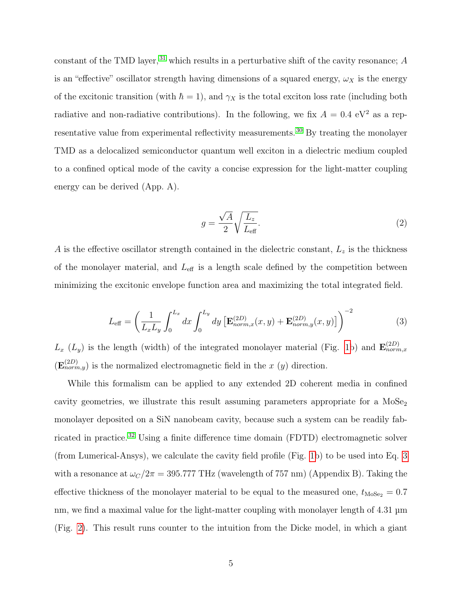constant of the TMD layer,  $31$  which results in a perturbative shift of the cavity resonance; A is an "effective" oscillator strength having dimensions of a squared energy,  $\omega_X$  is the energy of the excitonic transition (with  $\hbar = 1$ ), and  $\gamma_X$  is the total exciton loss rate (including both radiative and non-radiative contributions). In the following, we fix  $A = 0.4$  eV<sup>2</sup> as a representative value from experimental reflectivity measurements. [30](#page-18-3) By treating the monolayer TMD as a delocalized semiconductor quantum well exciton in a dielectric medium coupled to a confined optical mode of the cavity a concise expression for the light-matter coupling energy can be derived (App. A).

<span id="page-4-1"></span>
$$
g = \frac{\sqrt{A}}{2} \sqrt{\frac{L_z}{L_{\text{eff}}}}.\tag{2}
$$

A is the effective oscillator strength contained in the dielectric constant,  $L_z$  is the thickness of the monolayer material, and  $L_{\text{eff}}$  is a length scale defined by the competition between minimizing the excitonic envelope function area and maximizing the total integrated field.

<span id="page-4-0"></span>
$$
L_{\text{eff}} = \left(\frac{1}{L_x L_y} \int_0^{L_x} dx \int_0^{L_y} dy \left[\mathbf{E}_{norm,x}^{(2D)}(x,y) + \mathbf{E}_{norm,y}^{(2D)}(x,y)\right]\right)^{-2}
$$
(3)

 $L_x(L_y)$  is the length (width) of the integrated monolayer material (Fig. [1b](#page-6-0)) and  $\mathbf{E}_{norm,x}^{(2D)}$  $(\mathbf{E}_{norm,y}^{(2D)})$  is the normalized electromagnetic field in the x  $(y)$  direction.

While this formalism can be applied to any extended 2D coherent media in confined cavity geometries, we illustrate this result assuming parameters appropriate for a  $M_0Se_2$ monolayer deposited on a SiN nanobeam cavity, because such a system can be readily fabricated in practice. [32](#page-18-5) Using a finite difference time domain (FDTD) electromagnetic solver (from Lumerical-Ansys), we calculate the cavity field profile (Fig. [1b](#page-6-0)) to be used into Eq. [3](#page-4-0) with a resonance at  $\omega_C/2\pi = 395.777$  THz (wavelength of 757 nm) (Appendix B). Taking the effective thickness of the monolayer material to be equal to the measured one,  $t_{\mathrm{MoSe}_2} = 0.7$ nm, we find a maximal value for the light-matter coupling with monolayer length of 4.31  $\mu$ m (Fig. [2\)](#page-7-0). This result runs counter to the intuition from the Dicke model, in which a giant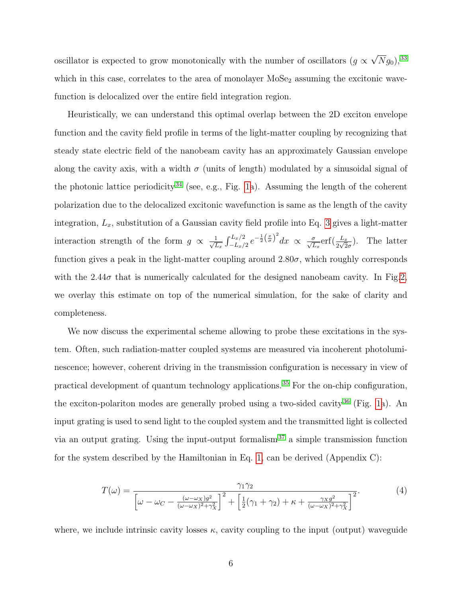oscillator is expected to grow monotonically with the number of oscillators ( $g \propto$ √  $\overline{N}g_0),^{33}$  $\overline{N}g_0),^{33}$  $\overline{N}g_0),^{33}$ which in this case, correlates to the area of monolayer  $MoSe<sub>2</sub>$  assuming the excitonic wavefunction is delocalized over the entire field integration region.

Heuristically, we can understand this optimal overlap between the 2D exciton envelope function and the cavity field profile in terms of the light-matter coupling by recognizing that steady state electric field of the nanobeam cavity has an approximately Gaussian envelope along the cavity axis, with a width  $\sigma$  (units of length) modulated by a sinusoidal signal of the photonic lattice periodicity<sup>[34](#page-18-7)</sup> (see, e.g., Fig. [1a](#page-6-0)). Assuming the length of the coherent polarization due to the delocalized excitonic wavefunction is same as the length of the cavity integration,  $L_x$ , substitution of a Gaussian cavity field profile into Eq. [3](#page-4-0) gives a light-matter interaction strength of the form  $g \propto \frac{1}{\sqrt{d}}$  $\frac{1}{L_x} \int_{-L_x/2}^{L_x/2} e^{-\frac{1}{2}(\frac{x}{\sigma})^2} dx \propto \frac{\sigma}{\sqrt{L_x}} erf(\frac{L_x}{2\sqrt{2}\sigma})$ . The latter function gives a peak in the light-matter coupling around  $2.80\sigma$ , which roughly corresponds with the  $2.44\sigma$  that is numerically calculated for the designed nanobeam cavity. In Fig[.2,](#page-7-0) we overlay this estimate on top of the numerical simulation, for the sake of clarity and completeness.

We now discuss the experimental scheme allowing to probe these excitations in the system. Often, such radiation-matter coupled systems are measured via incoherent photoluminescence; however, coherent driving in the transmission configuration is necessary in view of practical development of quantum technology applications. [35](#page-18-8) For the on-chip configuration, the exciton-polariton modes are generally probed using a two-sided cavity  $36$  (Fig. [1a](#page-6-0)). An input grating is used to send light to the coupled system and the transmitted light is collected via an output grating. Using the input-output formalism<sup>[37](#page-18-10)</sup> a simple transmission function for the system described by the Hamiltonian in Eq. [1,](#page-3-0) can be derived (Appendix C):

<span id="page-5-0"></span>
$$
T(\omega) = \frac{\gamma_1 \gamma_2}{\left[\omega - \omega_C - \frac{(\omega - \omega_X)g^2}{(\omega - \omega_X)^2 + \gamma_X^2}\right]^2 + \left[\frac{1}{2}(\gamma_1 + \gamma_2) + \kappa + \frac{\gamma_X g^2}{(\omega - \omega_X)^2 + \gamma_X^2}\right]^2}.
$$
(4)

where, we include intrinsic cavity losses  $\kappa$ , cavity coupling to the input (output) waveguide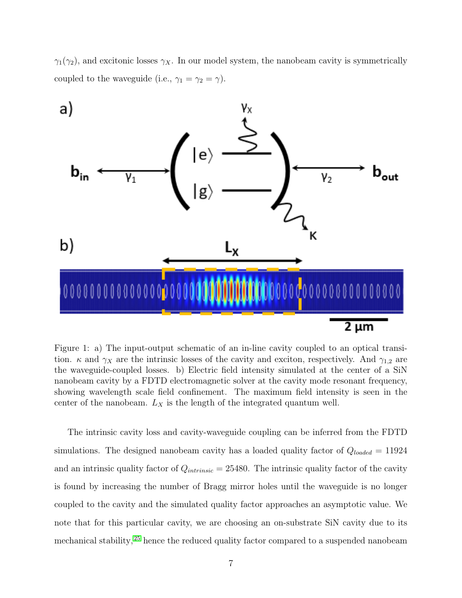$\gamma_1(\gamma_2)$ , and excitonic losses  $\gamma_X$ . In our model system, the nanobeam cavity is symmetrically coupled to the waveguide (i.e.,  $\gamma_1 = \gamma_2 = \gamma$ ).

<span id="page-6-0"></span>

Figure 1: a) The input-output schematic of an in-line cavity coupled to an optical transition.  $\kappa$  and  $\gamma_X$  are the intrinsic losses of the cavity and exciton, respectively. And  $\gamma_{1,2}$  are the waveguide-coupled losses. b) Electric field intensity simulated at the center of a SiN nanobeam cavity by a FDTD electromagnetic solver at the cavity mode resonant frequency, showing wavelength scale field confinement. The maximum field intensity is seen in the center of the nanobeam.  $L_X$  is the length of the integrated quantum well.

The intrinsic cavity loss and cavity-waveguide coupling can be inferred from the FDTD simulations. The designed nanobeam cavity has a loaded quality factor of  $Q_{loaded} = 11924$ and an intrinsic quality factor of  $Q_{intrinsic} = 25480$ . The intrinsic quality factor of the cavity is found by increasing the number of Bragg mirror holes until the waveguide is no longer coupled to the cavity and the simulated quality factor approaches an asymptotic value. We note that for this particular cavity, we are choosing an on-substrate SiN cavity due to its mechanical stability, [25](#page-17-8) hence the reduced quality factor compared to a suspended nanobeam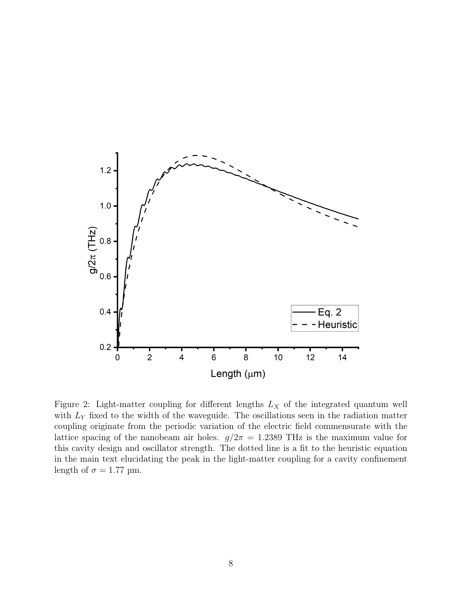<span id="page-7-0"></span>

Figure 2: Light-matter coupling for different lengths  $L_X$  of the integrated quantum well with  $L<sub>Y</sub>$  fixed to the width of the waveguide. The oscillations seen in the radiation matter coupling originate from the periodic variation of the electric field commensurate with the lattice spacing of the nanobeam air holes.  $g/2\pi = 1.2389$  THz is the maximum value for this cavity design and oscillator strength. The dotted line is a fit to the heuristic equation in the main text elucidating the peak in the light-matter coupling for a cavity confinement length of  $\sigma = 1.77$  µm.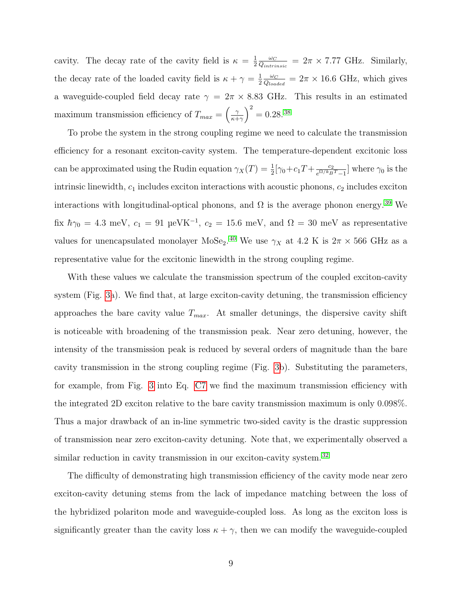cavity. The decay rate of the cavity field is  $\kappa = \frac{1}{2}$ 2  $\omega_C$  $\frac{\omega_C}{Q_{intrinsic}} = 2\pi \times 7.77 \text{ GHz.}$  Similarly, the decay rate of the loaded cavity field is  $\kappa + \gamma = \frac{1}{2}$ 2  $\omega_C$  $\frac{\omega_C}{Q_{loaded}} = 2\pi \times 16.6 \text{ GHz}, \text{ which gives}$ a waveguide-coupled field decay rate  $\gamma = 2\pi \times 8.83$  GHz. This results in an estimated maximum transmission efficiency of  $T_{max} = \left(\frac{\gamma}{\kappa + 1}\right)$  $\left(\frac{\gamma}{\kappa+\gamma}\right)^2 = 0.28$ . [38](#page-19-0)

To probe the system in the strong coupling regime we need to calculate the transmission efficiency for a resonant exciton-cavity system. The temperature-dependent excitonic loss can be approximated using the Rudin equation  $\gamma_X(T) = \frac{1}{2} [\gamma_0 + c_1 T + \frac{c_2}{e^{\Omega/k_B}}]$  $\frac{c_2}{e^{\Omega/k_B T}-1}$  where  $\gamma_0$  is the intrinsic linewidth,  $c_1$  includes exciton interactions with acoustic phonons,  $c_2$  includes exciton interactions with longitudinal-optical phonons, and  $\Omega$  is the average phonon energy. <sup>[39](#page-19-1)</sup> We fix  $\hbar\gamma_0 = 4.3$  meV,  $c_1 = 91$   $\mu\text{eV} \text{K}^{-1}$ ,  $c_2 = 15.6$  meV, and  $\Omega = 30$  meV as representative values for unencapsulated monolayer MoSe<sub>2</sub>.<sup>[40](#page-19-2)</sup> We use  $\gamma_X$  at 4.2 K is  $2\pi \times 566$  GHz as a representative value for the excitonic linewidth in the strong coupling regime.

With these values we calculate the transmission spectrum of the coupled exciton-cavity system (Fig. [3a](#page-9-0)). We find that, at large exciton-cavity detuning, the transmission efficiency approaches the bare cavity value  $T_{max}$ . At smaller detunings, the dispersive cavity shift is noticeable with broadening of the transmission peak. Near zero detuning, however, the intensity of the transmission peak is reduced by several orders of magnitude than the bare cavity transmission in the strong coupling regime (Fig. [3b](#page-9-0)). Substituting the parameters, for example, from Fig. [3](#page-9-0) into Eq. [C7](#page-15-4) we find the maximum transmission efficiency with the integrated 2D exciton relative to the bare cavity transmission maximum is only 0.098%. Thus a major drawback of an in-line symmetric two-sided cavity is the drastic suppression of transmission near zero exciton-cavity detuning. Note that, we experimentally observed a similar reduction in cavity transmission in our exciton-cavity system.<sup>[32](#page-18-5)</sup>

The difficulty of demonstrating high transmission efficiency of the cavity mode near zero exciton-cavity detuning stems from the lack of impedance matching between the loss of the hybridized polariton mode and waveguide-coupled loss. As long as the exciton loss is significantly greater than the cavity loss  $\kappa + \gamma$ , then we can modify the waveguide-coupled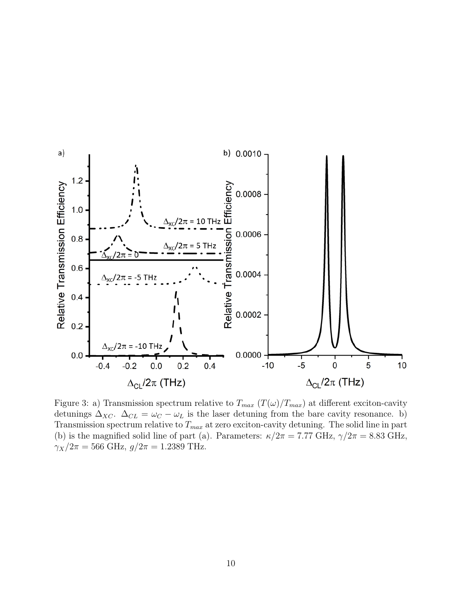<span id="page-9-0"></span>

Figure 3: a) Transmission spectrum relative to  $T_{max}$  ( $T(\omega)/T_{max}$ ) at different exciton-cavity detunings  $\Delta_{XC}$ .  $\Delta_{CL} = \omega_C - \omega_L$  is the laser detuning from the bare cavity resonance. b) Transmission spectrum relative to  $T_{max}$  at zero exciton-cavity detuning. The solid line in part (b) is the magnified solid line of part (a). Parameters:  $\kappa/2\pi = 7.77 \text{ GHz}, \gamma/2\pi = 8.83 \text{ GHz},$  $\gamma_X/2\pi = 566 \text{ GHz}, g/2\pi = 1.2389 \text{ THz}.$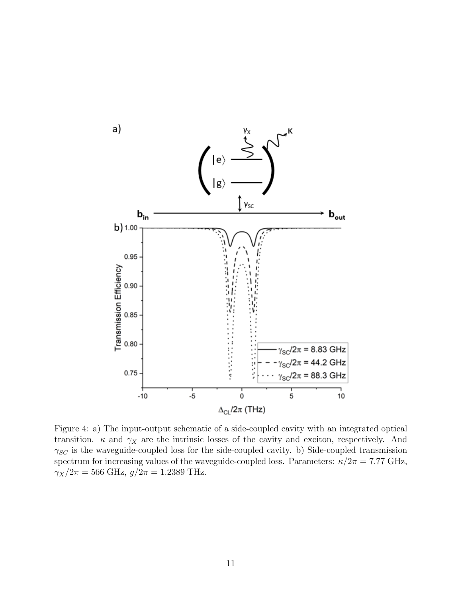<span id="page-10-0"></span>

Figure 4: a) The input-output schematic of a side-coupled cavity with an integrated optical transition.  $\kappa$  and  $\gamma_X$  are the intrinsic losses of the cavity and exciton, respectively. And  $\gamma_{SC}$  is the waveguide-coupled loss for the side-coupled cavity. b) Side-coupled transmission spectrum for increasing values of the waveguide-coupled loss. Parameters:  $\kappa/2\pi = 7.77$  GHz,  $\gamma_X/2\pi = 566 \text{ GHz}, g/2\pi = 1.2389 \text{ THz}.$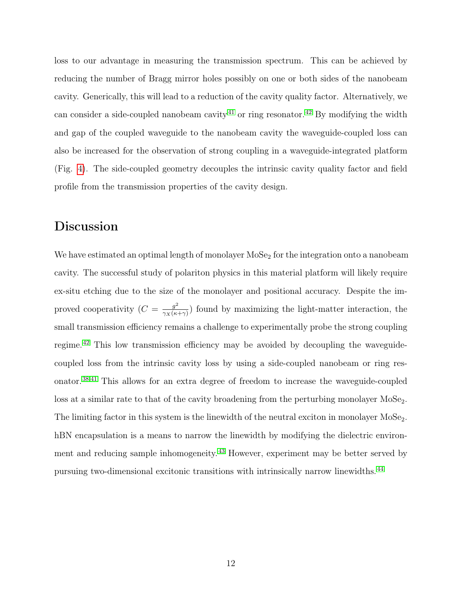loss to our advantage in measuring the transmission spectrum. This can be achieved by reducing the number of Bragg mirror holes possibly on one or both sides of the nanobeam cavity. Generically, this will lead to a reduction of the cavity quality factor. Alternatively, we can consider a side-coupled nanobeam cavity  $41$  or ring resonator.  $42$  By modifying the width and gap of the coupled waveguide to the nanobeam cavity the waveguide-coupled loss can also be increased for the observation of strong coupling in a waveguide-integrated platform (Fig. [4\)](#page-10-0). The side-coupled geometry decouples the intrinsic cavity quality factor and field profile from the transmission properties of the cavity design.

### Discussion

We have estimated an optimal length of monolayer  $MoSe<sub>2</sub>$  for the integration onto a nanobeam cavity. The successful study of polariton physics in this material platform will likely require ex-situ etching due to the size of the monolayer and positional accuracy. Despite the improved cooperativity  $(C = \frac{g^2}{2K}$  $\frac{g^2}{\gamma_X(\kappa+\gamma)}$  found by maximizing the light-matter interaction, the small transmission efficiency remains a challenge to experimentally probe the strong coupling regime.<sup>[42](#page-19-4)</sup> This low transmission efficiency may be avoided by decoupling the waveguidecoupled loss from the intrinsic cavity loss by using a side-coupled nanobeam or ring resonator.[38](#page-19-0)[,41](#page-19-3) This allows for an extra degree of freedom to increase the waveguide-coupled loss at a similar rate to that of the cavity broadening from the perturbing monolayer  $MoSe<sub>2</sub>$ . The limiting factor in this system is the linewidth of the neutral exciton in monolayer  $M_2S_2$ . hBN encapsulation is a means to narrow the linewidth by modifying the dielectric environment and reducing sample inhomogeneity. [43](#page-19-5) However, experiment may be better served by pursuing two-dimensional excitonic transitions with intrinsically narrow linewidths. [44](#page-19-6)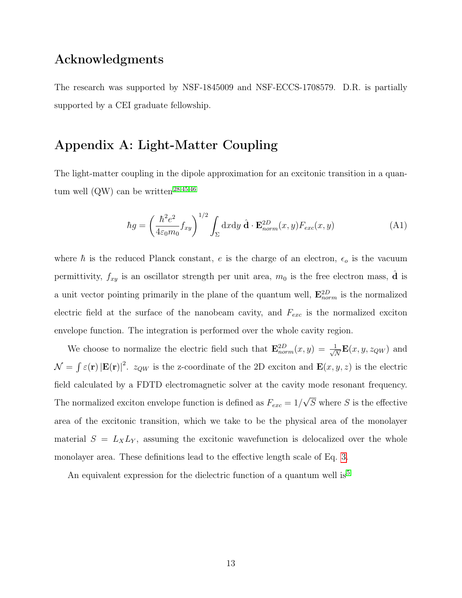#### Acknowledgments

The research was supported by NSF-1845009 and NSF-ECCS-1708579. D.R. is partially supported by a CEI graduate fellowship.

# Appendix A: Light-Matter Coupling

The light-matter coupling in the dipole approximation for an excitonic transition in a quan-tum well (QW) can be written<sup>[28](#page-18-1)[,45,](#page-19-7)[46](#page-19-8)</sup>

$$
\hbar g = \left(\frac{\hbar^2 e^2}{4\varepsilon_0 m_0} f_{xy}\right)^{1/2} \int_{\Sigma} dx dy \,\hat{\mathbf{d}} \cdot \mathbf{E}_{norm}^{2D}(x, y) F_{exc}(x, y)
$$
(A1)

where  $\hbar$  is the reduced Planck constant, e is the charge of an electron,  $\epsilon_o$  is the vacuum permittivity,  $f_{xy}$  is an oscillator strength per unit area,  $m_0$  is the free electron mass,  $\hat{d}$  is a unit vector pointing primarily in the plane of the quantum well,  $\mathbf{E}_{norm}^{2D}$  is the normalized electric field at the surface of the nanobeam cavity, and  $F_{exc}$  is the normalized exciton envelope function. The integration is performed over the whole cavity region.

We choose to normalize the electric field such that  $\mathbf{E}_{norm}^{2D}(x, y) = \frac{1}{\sqrt{2}}$  $\frac{1}{\overline{N}}\mathbf{E}(x,y,z_{QW})$  and  $\mathcal{N} = \int \varepsilon(\mathbf{r}) |\mathbf{E}(\mathbf{r})|^2$ .  $z_{QW}$  is the z-coordinate of the 2D exciton and  $\mathbf{E}(x, y, z)$  is the electric field calculated by a FDTD electromagnetic solver at the cavity mode resonant frequency. The normalized exciton envelope function is defined as  $F_{exc} = 1/$ √  $S$  where  $S$  is the effective area of the excitonic transition, which we take to be the physical area of the monolayer material  $S = L_X L_Y$ , assuming the excitonic wavefunction is delocalized over the whole monolayer area. These definitions lead to the effective length scale of Eq. [3.](#page-4-0)

An equivalent expression for the dielectric function of a quantum well is  $5$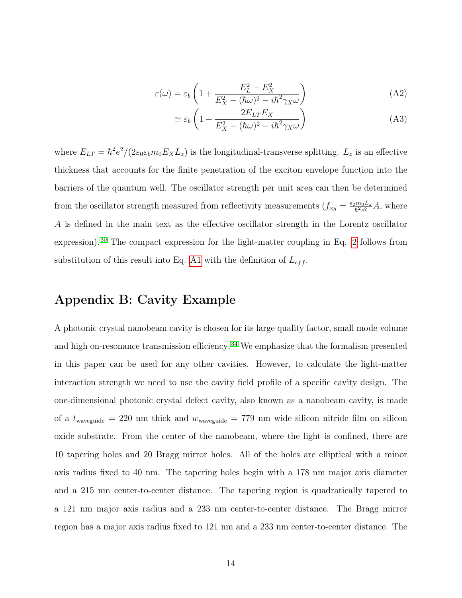$$
\varepsilon(\omega) = \varepsilon_b \left( 1 + \frac{E_L^2 - E_X^2}{E_X^2 - (\hbar \omega)^2 - i\hbar^2 \gamma_X \omega} \right) \tag{A2}
$$

$$
\simeq \varepsilon_b \left( 1 + \frac{2E_{LT}E_X}{E_X^2 - (\hbar \omega)^2 - i\hbar^2 \gamma_X \omega} \right) \tag{A3}
$$

where  $E_{LT} = \hbar^2 e^2/(2\varepsilon_0 \varepsilon_b m_0 E_X L_z)$  is the longitudinal-transverse splitting.  $L_z$  is an effective thickness that accounts for the finite penetration of the exciton envelope function into the barriers of the quantum well. The oscillator strength per unit area can then be determined from the oscillator strength measured from reflectivity measurements  $(f_{xy} = \frac{\varepsilon_0 m_0 L_z}{\hbar^2 e^2})$  $\frac{\hbar^2 m_0 L_z}{\hbar^2 e^2} A$ , where A is defined in the main text as the effective oscillator strength in the Lorentz oscillator expression). [30](#page-18-3) The compact expression for the light-matter coupling in Eq. [2](#page-4-1) follows from substitution of this result into Eq. [A1](#page-3-0) with the definition of  $L_{eff}$ .

# Appendix B: Cavity Example

A photonic crystal nanobeam cavity is chosen for its large quality factor, small mode volume and high on-resonance transmission efficiency. [34](#page-18-7) We emphasize that the formalism presented in this paper can be used for any other cavities. However, to calculate the light-matter interaction strength we need to use the cavity field profile of a specific cavity design. The one-dimensional photonic crystal defect cavity, also known as a nanobeam cavity, is made of a  $t_{\text{waveguide}} = 220 \text{ nm}$  thick and  $w_{\text{waveguide}} = 779 \text{ nm}$  wide silicon nitride film on silicon oxide substrate. From the center of the nanobeam, where the light is confined, there are 10 tapering holes and 20 Bragg mirror holes. All of the holes are elliptical with a minor axis radius fixed to 40 nm. The tapering holes begin with a 178 nm major axis diameter and a 215 nm center-to-center distance. The tapering region is quadratically tapered to a 121 nm major axis radius and a 233 nm center-to-center distance. The Bragg mirror region has a major axis radius fixed to 121 nm and a 233 nm center-to-center distance. The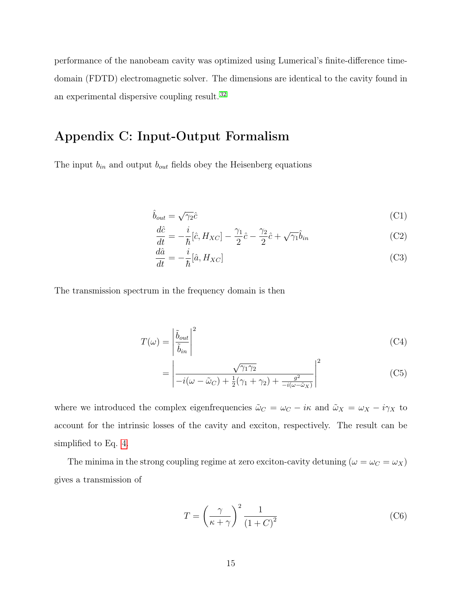performance of the nanobeam cavity was optimized using Lumerical's finite-difference timedomain (FDTD) electromagnetic solver. The dimensions are identical to the cavity found in an experimental dispersive coupling result. [32](#page-18-5)

# Appendix C: Input-Output Formalism

The input  $b_{in}$  and output  $b_{out}$  fields obey the Heisenberg equations

$$
\hat{b}_{out} = \sqrt{\gamma_2} \hat{c}
$$
 (C1)

$$
\frac{d\hat{c}}{dt} = -\frac{i}{\hbar}[\hat{c}, H_{XC}] - \frac{\gamma_1}{2}\hat{c} - \frac{\gamma_2}{2}\hat{c} + \sqrt{\gamma_1}\hat{b}_{in}
$$
(C2)

$$
\frac{d\hat{a}}{dt} = -\frac{i}{\hbar} [\hat{a}, H_{XC}] \tag{C3}
$$

The transmission spectrum in the frequency domain is then

$$
T(\omega) = \left| \frac{\tilde{b}_{out}}{\tilde{b}_{in}} \right|^2 \tag{C4}
$$

$$
= \left| \frac{\sqrt{\gamma_1 \gamma_2}}{-i(\omega - \tilde{\omega}_C) + \frac{1}{2}(\gamma_1 + \gamma_2) + \frac{g^2}{-i(\omega - \tilde{\omega}_X)}} \right|^2 \tag{C5}
$$

where we introduced the complex eigenfrequencies  $\tilde{\omega}_C = \omega_C - i\kappa$  and  $\tilde{\omega}_X = \omega_X - i\gamma_X$  to account for the intrinsic losses of the cavity and exciton, respectively. The result can be simplified to Eq. [4.](#page-5-0)

The minima in the strong coupling regime at zero exciton-cavity detuning  $(\omega = \omega_C = \omega_X)$ gives a transmission of

$$
T = \left(\frac{\gamma}{\kappa + \gamma}\right)^2 \frac{1}{\left(1 + C\right)^2} \tag{C6}
$$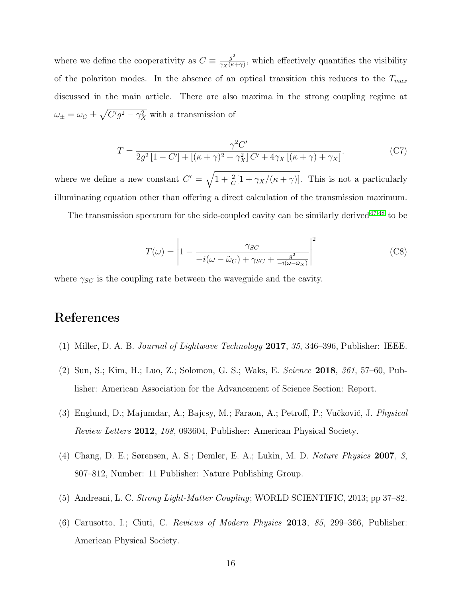where we define the cooperativity as  $C \equiv \frac{g^2}{2V(K)}$  $\frac{g^2}{\gamma_X(\kappa+\gamma)}$ , which effectively quantifies the visibility of the polariton modes. In the absence of an optical transition this reduces to the  $T_{max}$ discussed in the main article. There are also maxima in the strong coupling regime at  $\omega_{\pm} = \omega_C \pm \sqrt{C'g^2 - \gamma_X^2}$  with a transmission of

<span id="page-15-4"></span>
$$
T = \frac{\gamma^2 C'}{2g^2 \left[1 - C'\right] + \left[ (\kappa + \gamma)^2 + \gamma_X^2 \right] C' + 4\gamma_X \left[ (\kappa + \gamma) + \gamma_X \right]}.
$$
 (C7)

where we define a new constant  $C' = \sqrt{1 + \frac{2}{C}[1 + \gamma_X/(\kappa + \gamma)]}$ . This is not a particularly illuminating equation other than offering a direct calculation of the transmission maximum.

The transmission spectrum for the side-coupled cavity can be similarly derived  $47,48$  $47,48$  to be

$$
T(\omega) = \left| 1 - \frac{\gamma_{SC}}{-i(\omega - \tilde{\omega}_C) + \gamma_{SC} + \frac{g^2}{-i(\omega - \tilde{\omega}_X)}} \right|^2 \tag{C8}
$$

where  $\gamma_{SC}$  is the coupling rate between the waveguide and the cavity.

### References

- <span id="page-15-0"></span>(1) Miller, D. A. B. Journal of Lightwave Technology 2017, 35, 346–396, Publisher: IEEE.
- (2) Sun, S.; Kim, H.; Luo, Z.; Solomon, G. S.; Waks, E. Science 2018, 361, 57–60, Publisher: American Association for the Advancement of Science Section: Report.
- (3) Englund, D.; Majumdar, A.; Bajcsy, M.; Faraon, A.; Petroff, P.; Vučković, J. Physical Review Letters 2012, 108, 093604, Publisher: American Physical Society.
- <span id="page-15-1"></span>(4) Chang, D. E.; Sørensen, A. S.; Demler, E. A.; Lukin, M. D. Nature Physics 2007, 3, 807–812, Number: 11 Publisher: Nature Publishing Group.
- <span id="page-15-2"></span>(5) Andreani, L. C. Strong Light-Matter Coupling; WORLD SCIENTIFIC, 2013; pp 37–82.
- <span id="page-15-3"></span>(6) Carusotto, I.; Ciuti, C. Reviews of Modern Physics 2013, 85, 299–366, Publisher: American Physical Society.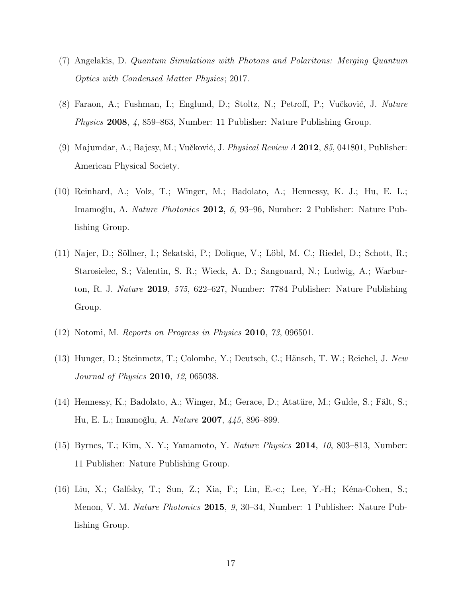- <span id="page-16-0"></span>(7) Angelakis, D. Quantum Simulations with Photons and Polaritons: Merging Quantum Optics with Condensed Matter Physics; 2017.
- <span id="page-16-1"></span>(8) Faraon, A.; Fushman, I.; Englund, D.; Stoltz, N.; Petroff, P.; Vučković, J. Nature Physics 2008, 4, 859–863, Number: 11 Publisher: Nature Publishing Group.
- (9) Majumdar, A.; Bajcsy, M.; Vučković, J. Physical Review A 2012, 85, 041801, Publisher: American Physical Society.
- (10) Reinhard, A.; Volz, T.; Winger, M.; Badolato, A.; Hennessy, K. J.; Hu, E. L.; Imamoğlu, A. Nature Photonics 2012, 6, 93–96, Number: 2 Publisher: Nature Publishing Group.
- <span id="page-16-2"></span>(11) Najer, D.; Söllner, I.; Sekatski, P.; Dolique, V.; Löbl, M. C.; Riedel, D.; Schott, R.; Starosielec, S.; Valentin, S. R.; Wieck, A. D.; Sangouard, N.; Ludwig, A.; Warburton, R. J. Nature 2019, 575, 622–627, Number: 7784 Publisher: Nature Publishing Group.
- <span id="page-16-3"></span>(12) Notomi, M. Reports on Progress in Physics 2010, 73, 096501.
- <span id="page-16-4"></span>(13) Hunger, D.; Steinmetz, T.; Colombe, Y.; Deutsch, C.; Hänsch, T. W.; Reichel, J. New Journal of Physics 2010, 12, 065038.
- <span id="page-16-5"></span>(14) Hennessy, K.; Badolato, A.; Winger, M.; Gerace, D.; Atatüre, M.; Gulde, S.; Fält, S.; Hu, E. L.; Imamoğlu, A. Nature 2007, 445, 896–899.
- <span id="page-16-6"></span>(15) Byrnes, T.; Kim, N. Y.; Yamamoto, Y. Nature Physics 2014, 10, 803–813, Number: 11 Publisher: Nature Publishing Group.
- (16) Liu, X.; Galfsky, T.; Sun, Z.; Xia, F.; Lin, E.-c.; Lee, Y.-H.; Kéna-Cohen, S.; Menon, V. M. Nature Photonics 2015, 9, 30–34, Number: 1 Publisher: Nature Publishing Group.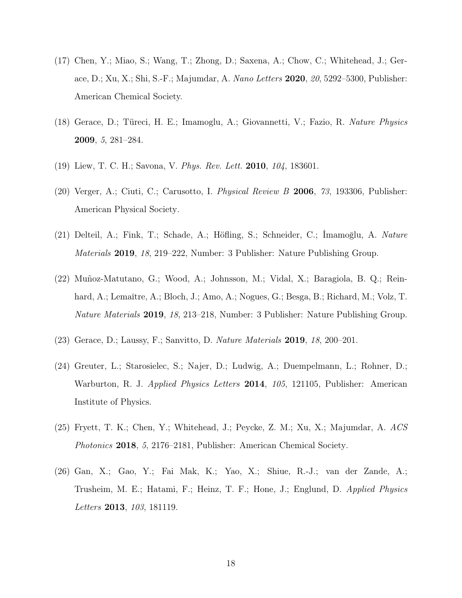- <span id="page-17-0"></span>(17) Chen, Y.; Miao, S.; Wang, T.; Zhong, D.; Saxena, A.; Chow, C.; Whitehead, J.; Gerace, D.; Xu, X.; Shi, S.-F.; Majumdar, A. Nano Letters 2020, 20, 5292–5300, Publisher: American Chemical Society.
- <span id="page-17-1"></span>(18) Gerace, D.; Türeci, H. E.; Imamoglu, A.; Giovannetti, V.; Fazio, R. Nature Physics 2009, 5, 281–284.
- <span id="page-17-2"></span>(19) Liew, T. C. H.; Savona, V. Phys. Rev. Lett. 2010, 104, 183601.
- <span id="page-17-3"></span>(20) Verger, A.; Ciuti, C.; Carusotto, I. *Physical Review B* 2006, 73, 193306, Publisher: American Physical Society.
- <span id="page-17-4"></span>(21) Delteil, A.; Fink, T.; Schade, A.; Höfling, S.; Schneider, C.; İmamoğlu, A. Nature Materials 2019, 18, 219–222, Number: 3 Publisher: Nature Publishing Group.
- <span id="page-17-5"></span>(22) Muñoz-Matutano, G.; Wood, A.; Johnsson, M.; Vidal, X.; Baragiola, B. Q.; Reinhard, A.; Lemaître, A.; Bloch, J.; Amo, A.; Nogues, G.; Besga, B.; Richard, M.; Volz, T. Nature Materials 2019, 18, 213–218, Number: 3 Publisher: Nature Publishing Group.
- <span id="page-17-6"></span>(23) Gerace, D.; Laussy, F.; Sanvitto, D. Nature Materials 2019, 18, 200–201.
- <span id="page-17-7"></span>(24) Greuter, L.; Starosielec, S.; Najer, D.; Ludwig, A.; Duempelmann, L.; Rohner, D.; Warburton, R. J. Applied Physics Letters 2014, 105, 121105, Publisher: American Institute of Physics.
- <span id="page-17-8"></span>(25) Fryett, T. K.; Chen, Y.; Whitehead, J.; Peycke, Z. M.; Xu, X.; Majumdar, A. ACS Photonics 2018, 5, 2176–2181, Publisher: American Chemical Society.
- <span id="page-17-9"></span>(26) Gan, X.; Gao, Y.; Fai Mak, K.; Yao, X.; Shiue, R.-J.; van der Zande, A.; Trusheim, M. E.; Hatami, F.; Heinz, T. F.; Hone, J.; Englund, D. Applied Physics Letters 2013, 103, 181119.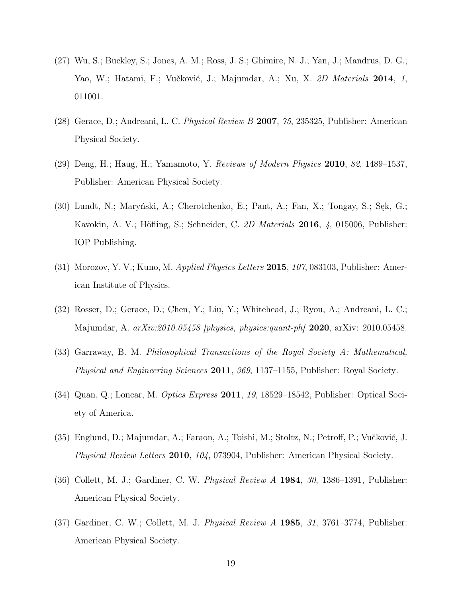- <span id="page-18-0"></span>(27) Wu, S.; Buckley, S.; Jones, A. M.; Ross, J. S.; Ghimire, N. J.; Yan, J.; Mandrus, D. G.; Yao, W.; Hatami, F.; Vučković, J.; Majumdar, A.; Xu, X. 2D Materials 2014, 1, 011001.
- <span id="page-18-1"></span>(28) Gerace, D.; Andreani, L. C. Physical Review B 2007, 75, 235325, Publisher: American Physical Society.
- <span id="page-18-2"></span>(29) Deng, H.; Haug, H.; Yamamoto, Y. Reviews of Modern Physics 2010, 82, 1489–1537, Publisher: American Physical Society.
- <span id="page-18-3"></span>(30) Lundt, N.; Maryński, A.; Cherotchenko, E.; Pant, A.; Fan, X.; Tongay, S.; Sęk, G.; Kavokin, A. V.; Höfling, S.; Schneider, C. 2D Materials 2016, 4, 015006, Publisher: IOP Publishing.
- <span id="page-18-4"></span>(31) Morozov, Y. V.; Kuno, M. *Applied Physics Letters* 2015,  $107$ , 083103, Publisher: American Institute of Physics.
- <span id="page-18-5"></span>(32) Rosser, D.; Gerace, D.; Chen, Y.; Liu, Y.; Whitehead, J.; Ryou, A.; Andreani, L. C.; Majumdar, A.  $arXiv:2010.05458$  [physics, physics:quant-ph] 2020, arXiv: 2010.05458.
- <span id="page-18-6"></span>(33) Garraway, B. M. Philosophical Transactions of the Royal Society A: Mathematical, Physical and Engineering Sciences 2011, 369, 1137–1155, Publisher: Royal Society.
- <span id="page-18-7"></span>(34) Quan, Q.; Loncar, M. Optics Express 2011, 19, 18529–18542, Publisher: Optical Society of America.
- <span id="page-18-8"></span>(35) Englund, D.; Majumdar, A.; Faraon, A.; Toishi, M.; Stoltz, N.; Petroff, P.; Vučković, J. Physical Review Letters 2010, 104, 073904, Publisher: American Physical Society.
- <span id="page-18-9"></span>(36) Collett, M. J.; Gardiner, C. W. Physical Review A 1984, 30, 1386–1391, Publisher: American Physical Society.
- <span id="page-18-10"></span>(37) Gardiner, C. W.; Collett, M. J. Physical Review A 1985, 31, 3761–3774, Publisher: American Physical Society.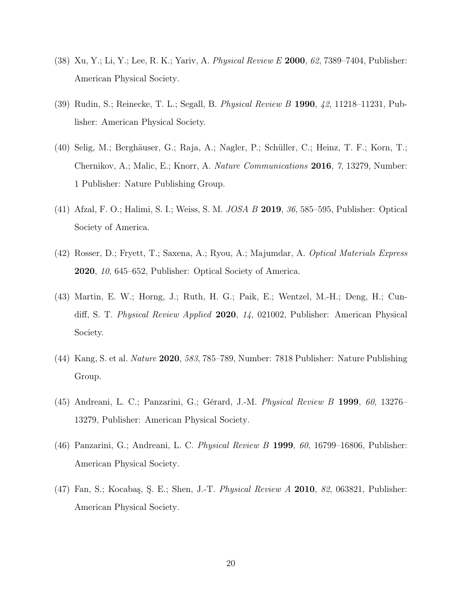- <span id="page-19-0"></span>(38) Xu, Y.; Li, Y.; Lee, R. K.; Yariv, A. Physical Review E 2000, 62, 7389–7404, Publisher: American Physical Society.
- <span id="page-19-1"></span>(39) Rudin, S.; Reinecke, T. L.; Segall, B. Physical Review B 1990, 42, 11218–11231, Publisher: American Physical Society.
- <span id="page-19-2"></span>(40) Selig, M.; Berghäuser, G.; Raja, A.; Nagler, P.; Schüller, C.; Heinz, T. F.; Korn, T.; Chernikov, A.; Malic, E.; Knorr, A. Nature Communications 2016, 7, 13279, Number: 1 Publisher: Nature Publishing Group.
- <span id="page-19-3"></span>(41) Afzal, F. O.; Halimi, S. I.; Weiss, S. M. JOSA B 2019, 36, 585–595, Publisher: Optical Society of America.
- <span id="page-19-4"></span>(42) Rosser, D.; Fryett, T.; Saxena, A.; Ryou, A.; Majumdar, A. Optical Materials Express 2020, 10, 645–652, Publisher: Optical Society of America.
- <span id="page-19-5"></span>(43) Martin, E. W.; Horng, J.; Ruth, H. G.; Paik, E.; Wentzel, M.-H.; Deng, H.; Cundiff, S. T. Physical Review Applied 2020, 14, 021002, Publisher: American Physical Society.
- <span id="page-19-6"></span>(44) Kang, S. et al. Nature 2020, 583, 785–789, Number: 7818 Publisher: Nature Publishing Group.
- <span id="page-19-7"></span>(45) Andreani, L. C.; Panzarini, G.; Gérard, J.-M. Physical Review B 1999, 60, 13276– 13279, Publisher: American Physical Society.
- <span id="page-19-8"></span>(46) Panzarini, G.; Andreani, L. C. Physical Review B 1999, 60, 16799–16806, Publisher: American Physical Society.
- <span id="page-19-9"></span>(47) Fan, S.; Kocabaş, Ş. E.; Shen, J.-T. Physical Review A 2010, 82, 063821, Publisher: American Physical Society.